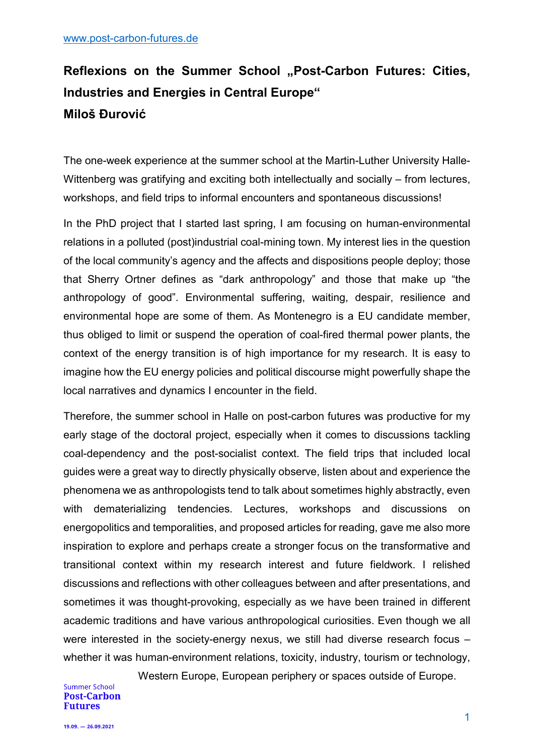## Reflexions on the Summer School "Post-Carbon Futures: Cities, **Industries and Energies in Central Europe" Miloš Đurović**

The one-week experience at the summer school at the Martin-Luther University Halle-Wittenberg was gratifying and exciting both intellectually and socially – from lectures, workshops, and field trips to informal encounters and spontaneous discussions!

In the PhD project that I started last spring, I am focusing on human-environmental relations in a polluted (post)industrial coal-mining town. My interest lies in the question of the local community's agency and the affects and dispositions people deploy; those that Sherry Ortner defines as "dark anthropology" and those that make up "the anthropology of good". Environmental suffering, waiting, despair, resilience and environmental hope are some of them. As Montenegro is a EU candidate member, thus obliged to limit or suspend the operation of coal-fired thermal power plants, the context of the energy transition is of high importance for my research. It is easy to imagine how the EU energy policies and political discourse might powerfully shape the local narratives and dynamics I encounter in the field.

Therefore, the summer school in Halle on post-carbon futures was productive for my early stage of the doctoral project, especially when it comes to discussions tackling coal-dependency and the post-socialist context. The field trips that included local guides were a great way to directly physically observe, listen about and experience the phenomena we as anthropologists tend to talk about sometimes highly abstractly, even with dematerializing tendencies. Lectures, workshops and discussions on energopolitics and temporalities, and proposed articles for reading, gave me also more inspiration to explore and perhaps create a stronger focus on the transformative and transitional context within my research interest and future fieldwork. I relished discussions and reflections with other colleagues between and after presentations, and sometimes it was thought-provoking, especially as we have been trained in different academic traditions and have various anthropological curiosities. Even though we all were interested in the society-energy nexus, we still had diverse research focus – whether it was human-environment relations, toxicity, industry, tourism or technology,

Western Europe, European periphery or spaces outside of Europe. **Post-Carbon** 

**Summer School**